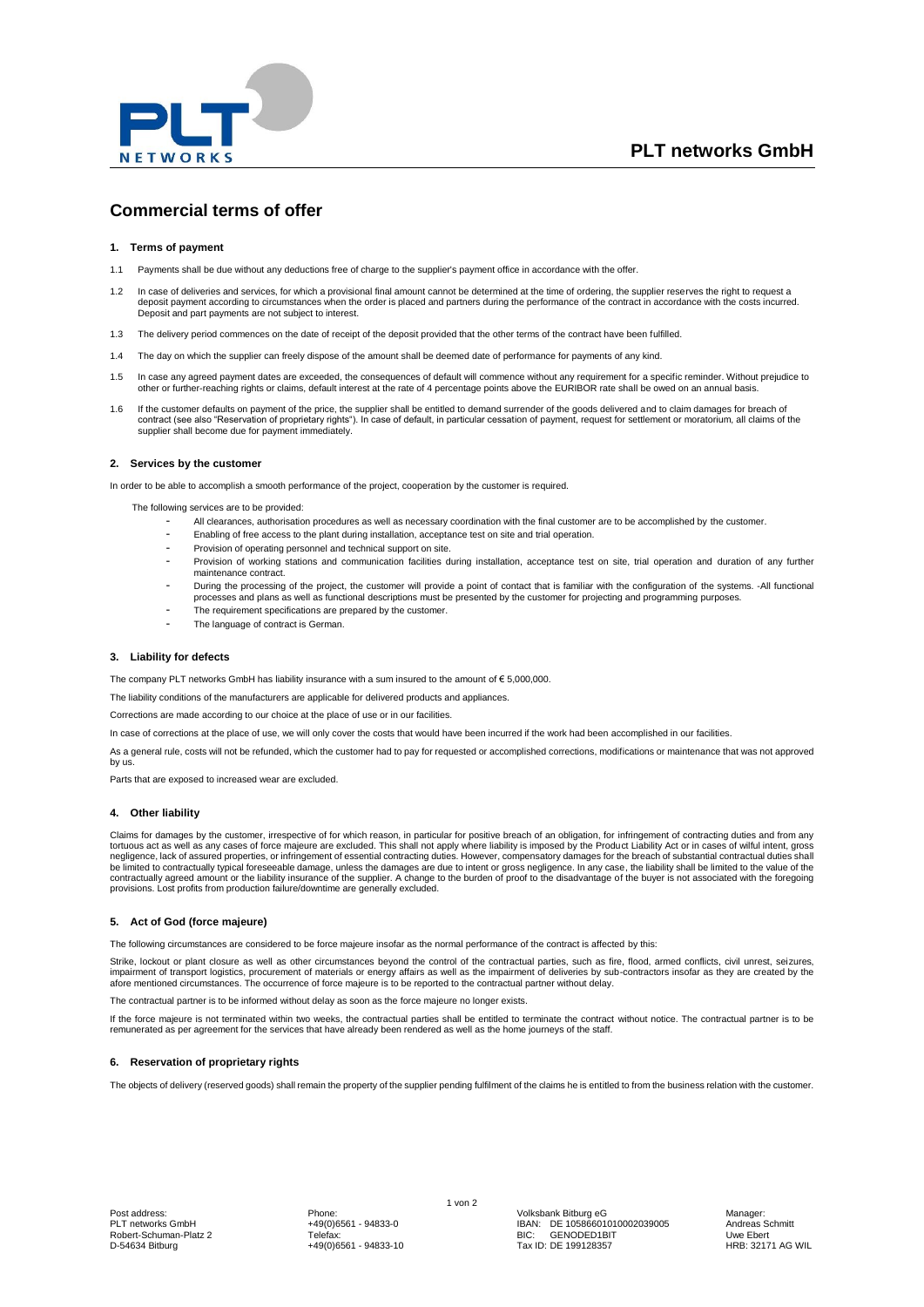

# **Commercial terms of offer**

## **1. Terms of payment**

- 1.1 Payments shall be due without any deductions free of charge to the supplier's payment office in accordance with the offer.
- 1.2 In case of deliveries and services, for which a provisional final amount cannot be determined at the time of ordering, the supplier reserves the right to request a deposit payment according to circumstances when the order is placed and partners during the performance of the contract in accordance with the costs incurred. Deposit and part payments are not subject to interest.
- 1.3 The delivery period commences on the date of receipt of the deposit provided that the other terms of the contract have been fulfilled.
- 1.4 The day on which the supplier can freely dispose of the amount shall be deemed date of performance for payments of any kind.
- 1.5 In case any agreed payment dates are exceeded, the consequences of default will commence without any requirement for a specific reminder. Without prejudice to<br>other or further-reaching rights or claims, default interes
- 1.6 If the customer defaults on payment of the price, the supplier shall be entitled to demand surrender of the goods delivered and to claim damages for breach of contract (see also "Reservation of proprietary rights"). In case of default, in particular cessation of payment, request for settlement or moratorium, all claims of the supplier shall become due for payment immediately.

#### **2. Services by the customer**

In order to be able to accomplish a smooth performance of the project, cooperation by the customer is required.

The following services are to be provided:

- All clearances, authorisation procedures as well as necessary coordination with the final customer are to be accomplished by the customer.
- Enabling of free access to the plant during installation, acceptance test on site and trial operation.
- Provision of operating personnel and technical support on site.
- Provision of working stations and communication facilities during installation, acceptance test on site, trial operation and duration of any further maintenance contract.
- During the processing of the project, the customer will provide a point of contact that is familiar with the configuration of the systems. -All functional<br>processes and plans as well as functional descriptions must be pr
- The requirement specifications are prepared by the customer.
- The language of contract is German.

# **3. Liability for defects**

The company PLT networks GmbH has liability insurance with a sum insured to the amount of  $\epsilon$  5,000,000.

The liability conditions of the manufacturers are applicable for delivered products and appliances.

Corrections are made according to our choice at the place of use or in our facilities.

In case of corrections at the place of use, we will only cover the costs that would have been incurred if the work had been accomplished in our facilities.

As a general rule, costs will not be refunded, which the customer had to pay for requested or accomplished corrections, modifications or maintenance that was not approved by us.

Parts that are exposed to increased wear are excluded.

#### **4. Other liability**

Claims for damages by the customer, irrespective of for which reason, in particular for positive breach of an obligation, for infringement of contracting duties and from any tortuous act as well as any cases of force majeure are excluded. This shall not apply where liability is imposed by the Product Liability Act or in cases of wilful intent, gross<br>negligence, lack of assured properties, or i

#### **5. Act of God (force majeure)**

The following circumstances are considered to be force majeure insofar as the normal performance of the contract is affected by this:

Strike, lockout or plant closure as well as other circumstances beyond the control of the contractual parties, such as fire, flood, armed conflicts, civil unrest, seizures, impairment of transport logistics, procurement of materials or energy affairs as well as the impairment of deliveries by sub-contractors insofar as they are created by the<br>afore mentioned circumstances. The occurrence of f

Itractual partner is to be informed without delay as soon as the force majeure no longer exists.

If the force majeure is not terminated within two weeks, the contractual parties shall be entitled to terminate the contract without notice. The contractual partner is to be remunerated as per agreement for the services that have already been rendered as well as the home journeys of the staff.

#### **6. Reservation of proprietary rights**

The objects of delivery (reserved goods) shall remain the property of the supplier pending fulfilment of the claims he is entitled to from the business relation with the customer.

Post address: Phone: Volksbank Bitburg eG Manager: PLT networks GmbH +49(0)6561 - 94833-0 IBAN: DE 10586601010002039005 Andreas Schmitt PLT networks GmbH<br>
Robert-Schuman-Platz 2 Telefax: Telefax: Telefax: BIC: GENODED1BIT Uwe Ebert<br>
D-54634 Bitburg 199128357 HRB: 32171 AG WIL<br>
D-54634 Bitburg 199128357 HRB: 32171 AG WIL BIO: DENOBEB HR<br>Tax ID: DE 199128357